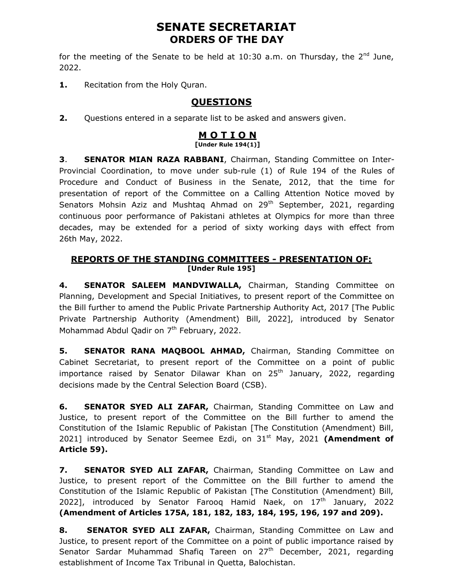# SENATE SECRETARIAT ORDERS OF THE DAY

for the meeting of the Senate to be held at 10:30 a.m. on Thursday, the  $2^{nd}$  June, 2022.

1. Recitation from the Holy Quran.

## **QUESTIONS**

2. Questions entered in a separate list to be asked and answers given.

#### M O T I O N [Under Rule 194(1)]

**3. SENATOR MIAN RAZA RABBANI, Chairman, Standing Committee on Inter-**Provincial Coordination, to move under sub-rule (1) of Rule 194 of the Rules of Procedure and Conduct of Business in the Senate, 2012, that the time for presentation of report of the Committee on a Calling Attention Notice moved by Senators Mohsin Aziz and Mushtag Ahmad on 29<sup>th</sup> September, 2021, regarding continuous poor performance of Pakistani athletes at Olympics for more than three decades, may be extended for a period of sixty working days with effect from 26th May, 2022.

### REPORTS OF THE STANDING COMMITTEES - PRESENTATION OF: [Under Rule 195]

4. SENATOR SALEEM MANDVIWALLA, Chairman, Standing Committee on Planning, Development and Special Initiatives, to present report of the Committee on the Bill further to amend the Public Private Partnership Authority Act, 2017 [The Public Private Partnership Authority (Amendment) Bill, 2022], introduced by Senator Mohammad Abdul Qadir on 7<sup>th</sup> February, 2022.

5. SENATOR RANA MAQBOOL AHMAD, Chairman, Standing Committee on Cabinet Secretariat, to present report of the Committee on a point of public importance raised by Senator Dilawar Khan on  $25<sup>th</sup>$  January, 2022, regarding decisions made by the Central Selection Board (CSB).

6. SENATOR SYED ALI ZAFAR, Chairman, Standing Committee on Law and Justice, to present report of the Committee on the Bill further to amend the Constitution of the Islamic Republic of Pakistan [The Constitution (Amendment) Bill, 2021] introduced by Senator Seemee Ezdi, on  $31<sup>st</sup>$  May, 2021 (Amendment of Article 59).

7. SENATOR SYED ALI ZAFAR, Chairman, Standing Committee on Law and Justice, to present report of the Committee on the Bill further to amend the Constitution of the Islamic Republic of Pakistan [The Constitution (Amendment) Bill, 2022], introduced by Senator Farooq Hamid Naek, on  $17<sup>th</sup>$  January, 2022 (Amendment of Articles 175A, 181, 182, 183, 184, 195, 196, 197 and 209).

8. SENATOR SYED ALI ZAFAR, Chairman, Standing Committee on Law and Justice, to present report of the Committee on a point of public importance raised by Senator Sardar Muhammad Shafiq Tareen on 27<sup>th</sup> December, 2021, regarding establishment of Income Tax Tribunal in Quetta, Balochistan.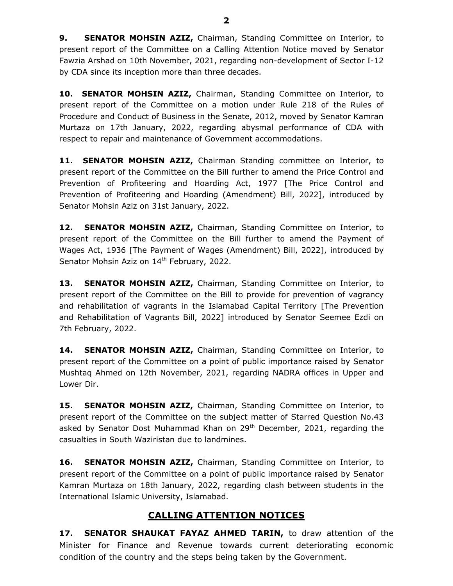9. SENATOR MOHSIN AZIZ, Chairman, Standing Committee on Interior, to present report of the Committee on a Calling Attention Notice moved by Senator Fawzia Arshad on 10th November, 2021, regarding non-development of Sector I-12 by CDA since its inception more than three decades.

10. SENATOR MOHSIN AZIZ, Chairman, Standing Committee on Interior, to present report of the Committee on a motion under Rule 218 of the Rules of Procedure and Conduct of Business in the Senate, 2012, moved by Senator Kamran Murtaza on 17th January, 2022, regarding abysmal performance of CDA with respect to repair and maintenance of Government accommodations.

11. SENATOR MOHSIN AZIZ, Chairman Standing committee on Interior, to present report of the Committee on the Bill further to amend the Price Control and Prevention of Profiteering and Hoarding Act, 1977 [The Price Control and Prevention of Profiteering and Hoarding (Amendment) Bill, 2022], introduced by Senator Mohsin Aziz on 31st January, 2022.

12. SENATOR MOHSIN AZIZ, Chairman, Standing Committee on Interior, to present report of the Committee on the Bill further to amend the Payment of Wages Act, 1936 [The Payment of Wages (Amendment) Bill, 2022], introduced by Senator Mohsin Aziz on 14<sup>th</sup> February, 2022.

13. SENATOR MOHSIN AZIZ, Chairman, Standing Committee on Interior, to present report of the Committee on the Bill to provide for prevention of vagrancy and rehabilitation of vagrants in the Islamabad Capital Territory [The Prevention and Rehabilitation of Vagrants Bill, 2022] introduced by Senator Seemee Ezdi on 7th February, 2022.

14. SENATOR MOHSIN AZIZ, Chairman, Standing Committee on Interior, to present report of the Committee on a point of public importance raised by Senator Mushtaq Ahmed on 12th November, 2021, regarding NADRA offices in Upper and Lower Dir.

15. SENATOR MOHSIN AZIZ, Chairman, Standing Committee on Interior, to present report of the Committee on the subject matter of Starred Question No.43 asked by Senator Dost Muhammad Khan on 29<sup>th</sup> December, 2021, regarding the casualties in South Waziristan due to landmines.

16. SENATOR MOHSIN AZIZ, Chairman, Standing Committee on Interior, to present report of the Committee on a point of public importance raised by Senator Kamran Murtaza on 18th January, 2022, regarding clash between students in the International Islamic University, Islamabad.

## CALLING ATTENTION NOTICES

17. SENATOR SHAUKAT FAYAZ AHMED TARIN, to draw attention of the Minister for Finance and Revenue towards current deteriorating economic condition of the country and the steps being taken by the Government.